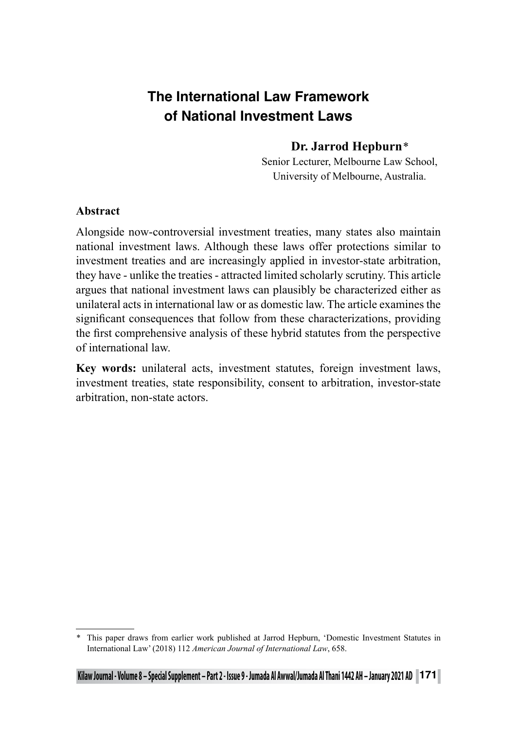# **The International Law Framework of National Investment Laws**

# **Dr. Jarrod Hepburn***\**

Senior Lecturer, Melbourne Law School, University of Melbourne, Australia.

#### **Abstract**

Alongside now-controversial investment treaties, many states also maintain national investment laws. Although these laws offer protections similar to investment treaties and are increasingly applied in investor-state arbitration, they have - unlike the treaties - attracted limited scholarly scrutiny. This article argues that national investment laws can plausibly be characterized either as unilateral acts in international law or as domestic law. The article examines the significant consequences that follow from these characterizations, providing the first comprehensive analysis of these hybrid statutes from the perspective of international law.

**Key words:** unilateral acts, investment statutes, foreign investment laws, investment treaties, state responsibility, consent to arbitration, investor-state arbitration, non-state actors.

<sup>\*</sup> This paper draws from earlier work published at Jarrod Hepburn, 'Domestic Investment Statutes in International Law' (2018) 112 *American Journal of International Law*, 658.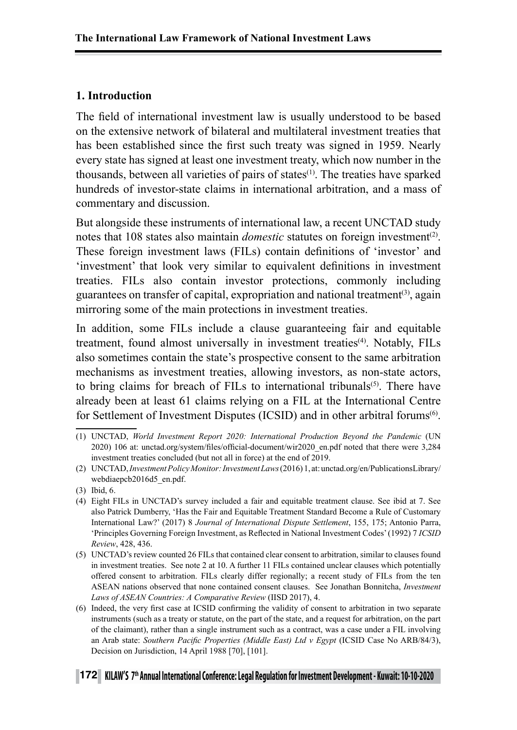## **1. Introduction**

The field of international investment law is usually understood to be based on the extensive network of bilateral and multilateral investment treaties that has been established since the first such treaty was signed in 1959. Nearly every state has signed at least one investment treaty, which now number in the thousands, between all varieties of pairs of states(1). The treaties have sparked hundreds of investor-state claims in international arbitration, and a mass of commentary and discussion.

But alongside these instruments of international law, a recent UNCTAD study notes that 108 states also maintain *domestic* statutes on foreign investment<sup>(2)</sup>. These foreign investment laws (FILs) contain definitions of 'investor' and 'investment' that look very similar to equivalent definitions in investment treaties. FILs also contain investor protections, commonly including guarantees on transfer of capital, expropriation and national treatment<sup>(3)</sup>, again mirroring some of the main protections in investment treaties.

In addition, some FILs include a clause guaranteeing fair and equitable treatment, found almost universally in investment treaties<sup>(4)</sup>. Notably, FILs also sometimes contain the state's prospective consent to the same arbitration mechanisms as investment treaties, allowing investors, as non-state actors, to bring claims for breach of FILs to international tribunals<sup>(5)</sup>. There have already been at least 61 claims relying on a FIL at the International Centre for Settlement of Investment Disputes (ICSID) and in other arbitral forums<sup>(6)</sup>.

<sup>(1)</sup> UNCTAD, *World Investment Report 2020: International Production Beyond the Pandemic* (UN 2020) 106 at: unctad.org/system/files/official-document/wir2020\_en.pdf noted that there were 3,284 investment treaties concluded (but not all in force) at the end of 2019.

<sup>(2)</sup> UNCTAD, *Investment Policy Monitor: Investment Laws* (2016) 1, at: unctad.org/en/PublicationsLibrary/ webdiaepcb2016d5\_en.pdf.

<sup>(3)</sup> Ibid, 6.

<sup>(4)</sup> Eight FILs in UNCTAD's survey included a fair and equitable treatment clause. See ibid at 7. See also Patrick Dumberry, 'Has the Fair and Equitable Treatment Standard Become a Rule of Customary International Law?' (2017) 8 *Journal of International Dispute Settlement*, 155, 175; Antonio Parra, 'Principles Governing Foreign Investment, as Reflected in National Investment Codes' (1992) 7 *ICSID Review*, 428, 436.

<sup>(5)</sup> UNCTAD's review counted 26 FILs that contained clear consent to arbitration, similar to clauses found in investment treaties. See note 2 at 10. A further 11 FILs contained unclear clauses which potentially offered consent to arbitration. FILs clearly differ regionally; a recent study of FILs from the ten ASEAN nations observed that none contained consent clauses. See Jonathan Bonnitcha, *Investment Laws of ASEAN Countries: A Comparative Review* (IISD 2017), 4.

<sup>(6)</sup> Indeed, the very first case at ICSID confirming the validity of consent to arbitration in two separate instruments (such as a treaty or statute, on the part of the state, and a request for arbitration, on the part of the claimant), rather than a single instrument such as a contract, was a case under a FIL involving an Arab state: *Southern Pacific Properties (Middle East) Ltd v Egypt* (ICSID Case No ARB/84/3), Decision on Jurisdiction, 14 April 1988 [70], [101].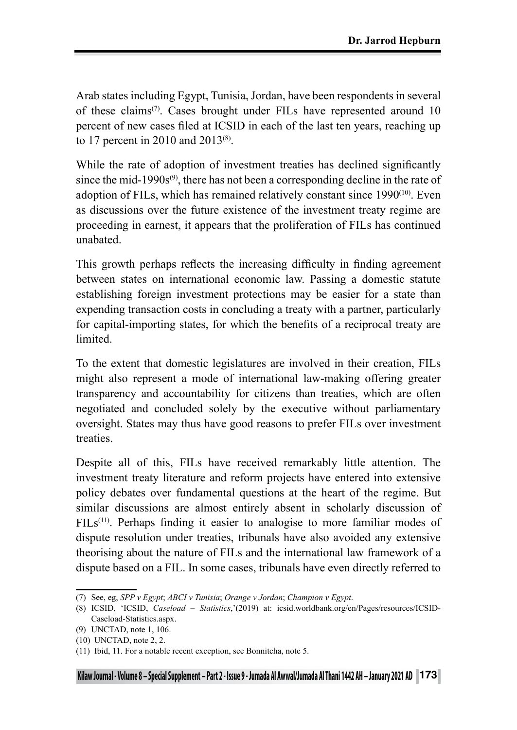Arab states including Egypt, Tunisia, Jordan, have been respondents in several of these claims<sup> $(7)$ </sup>. Cases brought under FILs have represented around 10 percent of new cases filed at ICSID in each of the last ten years, reaching up to 17 percent in 2010 and 2013(8).

While the rate of adoption of investment treaties has declined significantly since the mid-1990s $^{(9)}$ , there has not been a corresponding decline in the rate of adoption of FILs, which has remained relatively constant since 1990(10). Even as discussions over the future existence of the investment treaty regime are proceeding in earnest, it appears that the proliferation of FILs has continued unabated.

This growth perhaps reflects the increasing difficulty in finding agreement between states on international economic law. Passing a domestic statute establishing foreign investment protections may be easier for a state than expending transaction costs in concluding a treaty with a partner, particularly for capital-importing states, for which the benefits of a reciprocal treaty are limited.

To the extent that domestic legislatures are involved in their creation, FILs might also represent a mode of international law-making offering greater transparency and accountability for citizens than treaties, which are often negotiated and concluded solely by the executive without parliamentary oversight. States may thus have good reasons to prefer FILs over investment treaties.

Despite all of this, FILs have received remarkably little attention. The investment treaty literature and reform projects have entered into extensive policy debates over fundamental questions at the heart of the regime. But similar discussions are almost entirely absent in scholarly discussion of FILs<sup>(11)</sup>. Perhaps finding it easier to analogise to more familiar modes of dispute resolution under treaties, tribunals have also avoided any extensive theorising about the nature of FILs and the international law framework of a dispute based on a FIL. In some cases, tribunals have even directly referred to

<sup>(7)</sup> See, eg, *SPP v Egypt*; *ABCI v Tunisia*; *Orange v Jordan*; *Champion v Egypt*.

<sup>(8)</sup> ICSID, 'ICSID, *Caseload – Statistics*,'(2019) at: icsid.worldbank.org/en/Pages/resources/ICSID-Caseload-Statistics.aspx.

<sup>(9)</sup> UNCTAD, note 1, 106.

<sup>(10)</sup> UNCTAD, note 2, 2.

<sup>(11)</sup> Ibid, 11. For a notable recent exception, see Bonnitcha, note 5.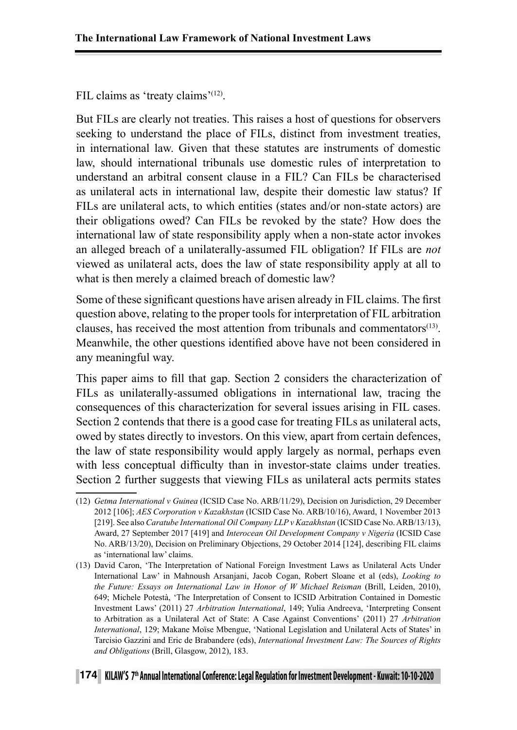FIL claims as 'treaty claims'<sup>(12)</sup>.

But FILs are clearly not treaties. This raises a host of questions for observers seeking to understand the place of FILs, distinct from investment treaties, in international law. Given that these statutes are instruments of domestic law, should international tribunals use domestic rules of interpretation to understand an arbitral consent clause in a FIL? Can FILs be characterised as unilateral acts in international law, despite their domestic law status? If FILs are unilateral acts, to which entities (states and/or non-state actors) are their obligations owed? Can FILs be revoked by the state? How does the international law of state responsibility apply when a non-state actor invokes an alleged breach of a unilaterally-assumed FIL obligation? If FILs are *not* viewed as unilateral acts, does the law of state responsibility apply at all to what is then merely a claimed breach of domestic law?

Some of these significant questions have arisen already in FIL claims. The first question above, relating to the proper tools for interpretation of FIL arbitration clauses, has received the most attention from tribunals and commentators $(13)$ . Meanwhile, the other questions identified above have not been considered in any meaningful way.

This paper aims to fill that gap. Section 2 considers the characterization of FILs as unilaterally-assumed obligations in international law, tracing the consequences of this characterization for several issues arising in FIL cases. Section 2 contends that there is a good case for treating FILs as unilateral acts, owed by states directly to investors. On this view, apart from certain defences, the law of state responsibility would apply largely as normal, perhaps even with less conceptual difficulty than in investor-state claims under treaties. Section 2 further suggests that viewing FILs as unilateral acts permits states

<sup>(12)</sup> *Getma International v Guinea* (ICSID Case No. ARB/11/29), Decision on Jurisdiction, 29 December 2012 [106]; *AES Corporation v Kazakhstan* (ICSID Case No. ARB/10/16), Award, 1 November 2013 [219]. See also *Caratube International Oil Company LLP v Kazakhstan* (ICSID Case No. ARB/13/13), Award, 27 September 2017 [419] and *Interocean Oil Development Company v Nigeria* (ICSID Case No. ARB/13/20), Decision on Preliminary Objections, 29 October 2014 [124], describing FIL claims as 'international law' claims.

<sup>(13)</sup> David Caron, 'The Interpretation of National Foreign Investment Laws as Unilateral Acts Under International Law' in Mahnoush Arsanjani, Jacob Cogan, Robert Sloane et al (eds), *Looking to the Future: Essays on International Law in Honor of W Michael Reisman* (Brill, Leiden, 2010), 649; Michele Potestà, 'The Interpretation of Consent to ICSID Arbitration Contained in Domestic Investment Laws' (2011) 27 *Arbitration International*, 149; Yulia Andreeva, 'Interpreting Consent to Arbitration as a Unilateral Act of State: A Case Against Conventions' (2011) 27 *Arbitration International*, 129; Makane Moïse Mbengue, 'National Legislation and Unilateral Acts of States' in Tarcisio Gazzini and Eric de Brabandere (eds), *International Investment Law: The Sources of Rights and Obligations* (Brill, Glasgow, 2012), 183.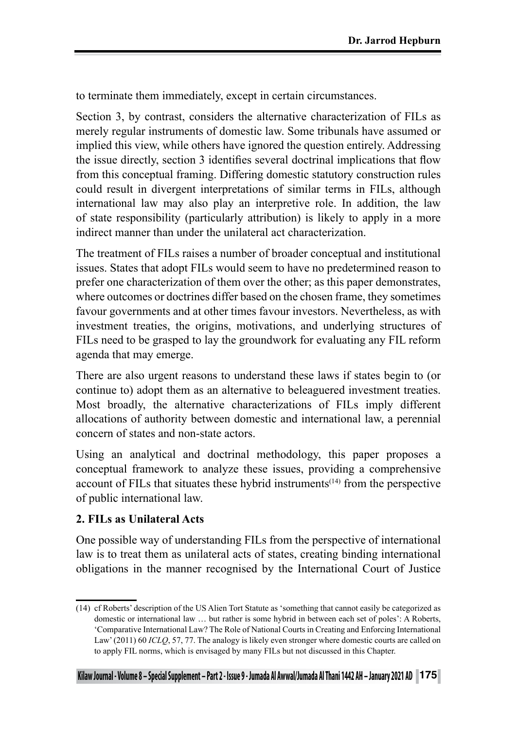to terminate them immediately, except in certain circumstances.

Section 3, by contrast, considers the alternative characterization of FILs as merely regular instruments of domestic law. Some tribunals have assumed or implied this view, while others have ignored the question entirely. Addressing the issue directly, section 3 identifies several doctrinal implications that flow from this conceptual framing. Differing domestic statutory construction rules could result in divergent interpretations of similar terms in FILs, although international law may also play an interpretive role. In addition, the law of state responsibility (particularly attribution) is likely to apply in a more indirect manner than under the unilateral act characterization.

The treatment of FILs raises a number of broader conceptual and institutional issues. States that adopt FILs would seem to have no predetermined reason to prefer one characterization of them over the other; as this paper demonstrates, where outcomes or doctrines differ based on the chosen frame, they sometimes favour governments and at other times favour investors. Nevertheless, as with investment treaties, the origins, motivations, and underlying structures of FILs need to be grasped to lay the groundwork for evaluating any FIL reform agenda that may emerge.

There are also urgent reasons to understand these laws if states begin to (or continue to) adopt them as an alternative to beleaguered investment treaties. Most broadly, the alternative characterizations of FILs imply different allocations of authority between domestic and international law, a perennial concern of states and non-state actors.

Using an analytical and doctrinal methodology, this paper proposes a conceptual framework to analyze these issues, providing a comprehensive account of FILs that situates these hybrid instruments<sup> $(14)$ </sup> from the perspective of public international law.

# **2. FILs as Unilateral Acts**

One possible way of understanding FILs from the perspective of international law is to treat them as unilateral acts of states, creating binding international obligations in the manner recognised by the International Court of Justice

<sup>(14)</sup> cf Roberts' description of the US Alien Tort Statute as 'something that cannot easily be categorized as domestic or international law … but rather is some hybrid in between each set of poles': A Roberts, 'Comparative International Law? The Role of National Courts in Creating and Enforcing International Law' (2011) 60 *ICLQ*, 57, 77. The analogy is likely even stronger where domestic courts are called on to apply FIL norms, which is envisaged by many FILs but not discussed in this Chapter.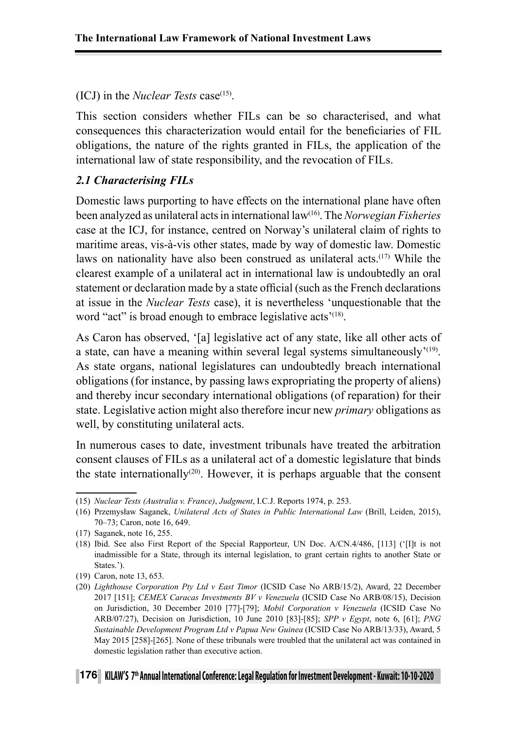#### (ICJ) in the *Nuclear Tests* case<sup> $(15)$ </sup>.

This section considers whether FILs can be so characterised, and what consequences this characterization would entail for the beneficiaries of FIL obligations, the nature of the rights granted in FILs, the application of the international law of state responsibility, and the revocation of FILs.

#### *2.1 Characterising FILs*

Domestic laws purporting to have effects on the international plane have often been analyzed as unilateral acts in international law(16). The *Norwegian Fisheries* case at the ICJ, for instance, centred on Norway's unilateral claim of rights to maritime areas, vis-à-vis other states, made by way of domestic law. Domestic laws on nationality have also been construed as unilateral acts.<sup>(17)</sup> While the clearest example of a unilateral act in international law is undoubtedly an oral statement or declaration made by a state official (such as the French declarations at issue in the *Nuclear Tests* case), it is nevertheless 'unquestionable that the word "act" is broad enough to embrace legislative acts<sup>'(18)</sup>.

As Caron has observed, '[a] legislative act of any state, like all other acts of a state, can have a meaning within several legal systems simultaneously<sup> $(19)$ </sup>. As state organs, national legislatures can undoubtedly breach international obligations (for instance, by passing laws expropriating the property of aliens) and thereby incur secondary international obligations (of reparation) for their state. Legislative action might also therefore incur new *primary* obligations as well, by constituting unilateral acts.

In numerous cases to date, investment tribunals have treated the arbitration consent clauses of FILs as a unilateral act of a domestic legislature that binds the state internationally<sup>(20)</sup>. However, it is perhaps arguable that the consent

<sup>(15)</sup> *Nuclear Tests (Australia v. France)*, *Judgment*, I.C.J. Reports 1974, p. 253.

<sup>(16)</sup> Przemysław Saganek, *Unilateral Acts of States in Public International Law* (Brill, Leiden, 2015), 70–73; Caron, note 16, 649.

<sup>(17)</sup> Saganek, note 16, 255.

<sup>(18)</sup> Ibid. See also First Report of the Special Rapporteur, UN Doc. A/CN.4/486, [113] ('[I]t is not inadmissible for a State, through its internal legislation, to grant certain rights to another State or States.').

<sup>(19)</sup> Caron, note 13, 653.

<sup>(20)</sup> *Lighthouse Corporation Pty Ltd v East Timor* (ICSID Case No ARB/15/2), Award, 22 December 2017 [151]; *CEMEX Caracas Investments BV v Venezuela* (ICSID Case No ARB/08/15), Decision on Jurisdiction, 30 December 2010 [77]-[79]; *Mobil Corporation v Venezuela* (ICSID Case No ARB/07/27), Decision on Jurisdiction, 10 June 2010 [83]-[85]; *SPP v Egypt*, note 6, [61]; *PNG Sustainable Development Program Ltd v Papua New Guinea* (ICSID Case No ARB/13/33), Award, 5 May 2015 [258]-[265]. None of these tribunals were troubled that the unilateral act was contained in domestic legislation rather than executive action.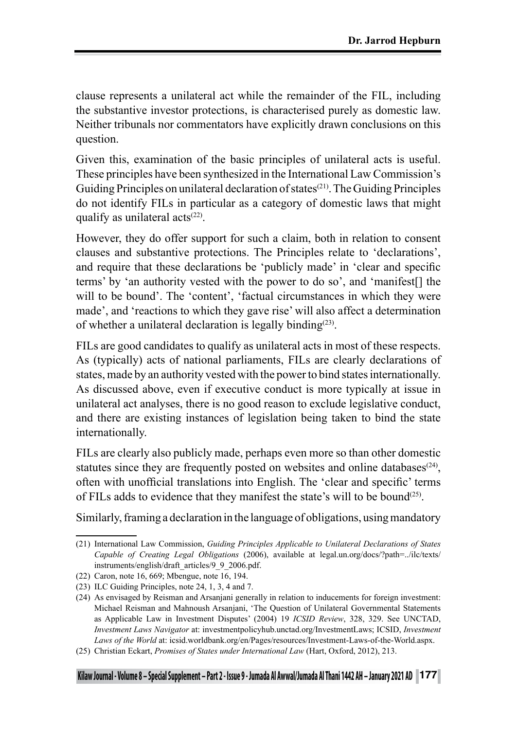clause represents a unilateral act while the remainder of the FIL, including the substantive investor protections, is characterised purely as domestic law. Neither tribunals nor commentators have explicitly drawn conclusions on this question.

Given this, examination of the basic principles of unilateral acts is useful. These principles have been synthesized in the International Law Commission's Guiding Principles on unilateral declaration of states<sup>(21)</sup>. The Guiding Principles do not identify FILs in particular as a category of domestic laws that might qualify as unilateral  $\arctan(22)$ .

However, they do offer support for such a claim, both in relation to consent clauses and substantive protections. The Principles relate to 'declarations', and require that these declarations be 'publicly made' in 'clear and specific terms' by 'an authority vested with the power to do so', and 'manifest[] the will to be bound'. The 'content', 'factual circumstances in which they were made', and 'reactions to which they gave rise' will also affect a determination of whether a unilateral declaration is legally binding<sup>(23)</sup>.

FILs are good candidates to qualify as unilateral acts in most of these respects. As (typically) acts of national parliaments, FILs are clearly declarations of states, made by an authority vested with the power to bind states internationally. As discussed above, even if executive conduct is more typically at issue in unilateral act analyses, there is no good reason to exclude legislative conduct, and there are existing instances of legislation being taken to bind the state internationally.

FILs are clearly also publicly made, perhaps even more so than other domestic statutes since they are frequently posted on websites and online databases<sup> $(24)$ </sup>. often with unofficial translations into English. The 'clear and specific' terms of FILs adds to evidence that they manifest the state's will to be bound<sup> $(25)$ </sup>.

Similarly, framing a declaration in the language of obligations, using mandatory

<sup>(21)</sup> International Law Commission, *Guiding Principles Applicable to Unilateral Declarations of States Capable of Creating Legal Obligations* (2006), available at legal.un.org/docs/?path=../ilc/texts/ instruments/english/draft\_articles/9\_9\_2006.pdf.

<sup>(22)</sup> Caron, note 16, 669; Mbengue, note 16, 194.

<sup>(23)</sup> ILC Guiding Principles, note 24, 1, 3, 4 and 7.

<sup>(24)</sup> As envisaged by Reisman and Arsanjani generally in relation to inducements for foreign investment: Michael Reisman and Mahnoush Arsanjani, 'The Question of Unilateral Governmental Statements as Applicable Law in Investment Disputes' (2004) 19 *ICSID Review*, 328, 329. See UNCTAD, *Investment Laws Navigator* at: investmentpolicyhub.unctad.org/InvestmentLaws; ICSID, *Investment Laws of the World* at: icsid.worldbank.org/en/Pages/resources/Investment-Laws-of-the-World.aspx.

<sup>(25)</sup> Christian Eckart, *Promises of States under International Law* (Hart, Oxford, 2012), 213.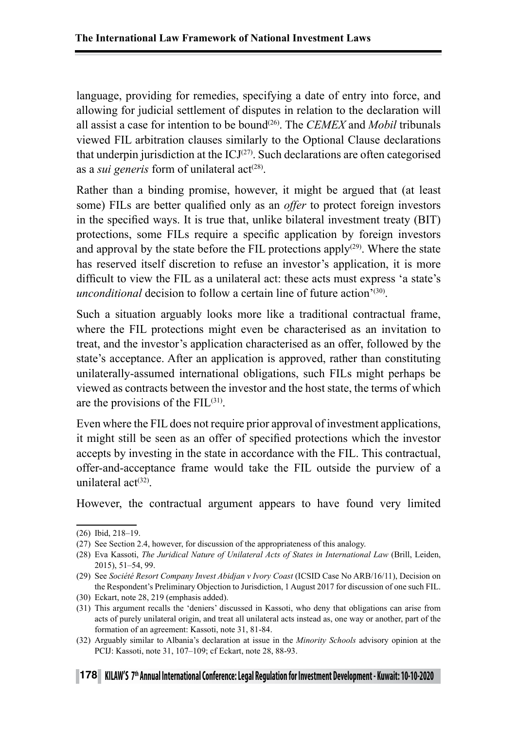language, providing for remedies, specifying a date of entry into force, and allowing for judicial settlement of disputes in relation to the declaration will all assist a case for intention to be bound(26). The *CEMEX* and *Mobil* tribunals viewed FIL arbitration clauses similarly to the Optional Clause declarations that underpin jurisdiction at the  $ICJ<sup>(27)</sup>$ . Such declarations are often categorised as a *sui generis* form of unilateral act<sup>(28)</sup>.

Rather than a binding promise, however, it might be argued that (at least some) FILs are better qualified only as an *offer* to protect foreign investors in the specified ways. It is true that, unlike bilateral investment treaty (BIT) protections, some FILs require a specific application by foreign investors and approval by the state before the FIL protections apply<sup>(29)</sup>. Where the state has reserved itself discretion to refuse an investor's application, it is more difficult to view the FIL as a unilateral act: these acts must express 'a state's *unconditional* decision to follow a certain line of future action<sup>'(30)</sup>.

Such a situation arguably looks more like a traditional contractual frame, where the FIL protections might even be characterised as an invitation to treat, and the investor's application characterised as an offer, followed by the state's acceptance. After an application is approved, rather than constituting unilaterally-assumed international obligations, such FILs might perhaps be viewed as contracts between the investor and the host state, the terms of which are the provisions of the  $FIL<sup>(31)</sup>$ .

Even where the FIL does not require prior approval of investment applications, it might still be seen as an offer of specified protections which the investor accepts by investing in the state in accordance with the FIL. This contractual, offer-and-acceptance frame would take the FIL outside the purview of a unilateral  $act^{(32)}$ .

However, the contractual argument appears to have found very limited

<sup>(26)</sup> Ibid, 218–19.

<sup>(27)</sup> See Section 2.4, however, for discussion of the appropriateness of this analogy.

<sup>(28)</sup> Eva Kassoti, *The Juridical Nature of Unilateral Acts of States in International Law* (Brill, Leiden, 2015), 51–54, 99.

<sup>(29)</sup> See *Société Resort Company Invest Abidjan v Ivory Coast* (ICSID Case No ARB/16/11), Decision on the Respondent's Preliminary Objection to Jurisdiction, 1 August 2017 for discussion of one such FIL.

<sup>(30)</sup> Eckart, note 28, 219 (emphasis added).

<sup>(31)</sup> This argument recalls the 'deniers' discussed in Kassoti, who deny that obligations can arise from acts of purely unilateral origin, and treat all unilateral acts instead as, one way or another, part of the formation of an agreement: Kassoti, note 31, 81-84.

<sup>(32)</sup> Arguably similar to Albania's declaration at issue in the *Minority Schools* advisory opinion at the PCIJ: Kassoti, note 31, 107–109; cf Eckart, note 28, 88-93.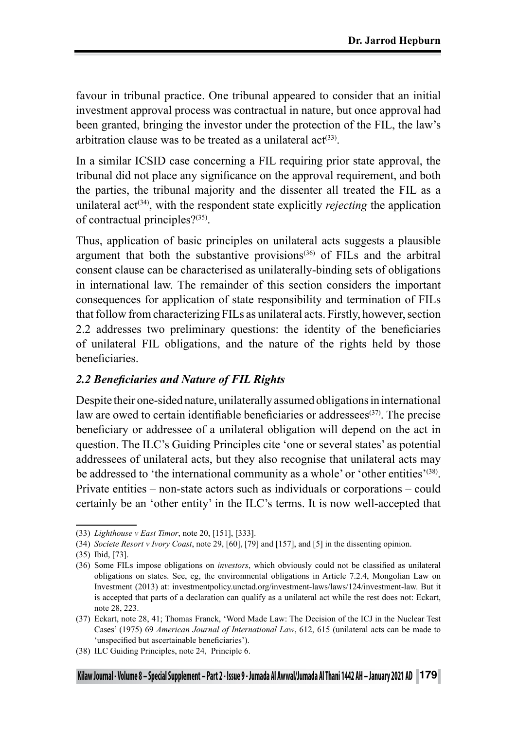favour in tribunal practice. One tribunal appeared to consider that an initial investment approval process was contractual in nature, but once approval had been granted, bringing the investor under the protection of the FIL, the law's arbitration clause was to be treated as a unilateral  $act^{(33)}$ .

In a similar ICSID case concerning a FIL requiring prior state approval, the tribunal did not place any significance on the approval requirement, and both the parties, the tribunal majority and the dissenter all treated the FIL as a unilateral act<sup> $(34)$ </sup>, with the respondent state explicitly *rejecting* the application of contractual principles?(35).

Thus, application of basic principles on unilateral acts suggests a plausible argument that both the substantive provisions<sup> $(36)$ </sup> of FILs and the arbitral consent clause can be characterised as unilaterally-binding sets of obligations in international law. The remainder of this section considers the important consequences for application of state responsibility and termination of FILs that follow from characterizing FILs as unilateral acts. Firstly, however, section 2.2 addresses two preliminary questions: the identity of the beneficiaries of unilateral FIL obligations, and the nature of the rights held by those beneficiaries.

#### *2.2 Beneficiaries and Nature of FIL Rights*

Despite their one-sided nature, unilaterally assumed obligations in international law are owed to certain identifiable beneficiaries or addressees<sup>(37)</sup>. The precise beneficiary or addressee of a unilateral obligation will depend on the act in question. The ILC's Guiding Principles cite 'one or several states' as potential addressees of unilateral acts, but they also recognise that unilateral acts may be addressed to 'the international community as a whole' or 'other entities'<sup>(38)</sup>. Private entities – non-state actors such as individuals or corporations – could certainly be an 'other entity' in the ILC's terms. It is now well-accepted that

<sup>(33)</sup> *Lighthouse v East Timor*, note 20, [151], [333].

<sup>(34)</sup> *Societe Resort v Ivory Coast*, note 29, [60], [79] and [157], and [5] in the dissenting opinion.

<sup>(35)</sup> Ibid, [73].

<sup>(36)</sup> Some FILs impose obligations on *investors*, which obviously could not be classified as unilateral obligations on states. See, eg, the environmental obligations in Article 7.2.4, Mongolian Law on Investment (2013) at: investmentpolicy.unctad.org/investment-laws/laws/124/investment-law. But it is accepted that parts of a declaration can qualify as a unilateral act while the rest does not: Eckart, note 28, 223.

<sup>(37)</sup> Eckart, note 28, 41; Thomas Franck, 'Word Made Law: The Decision of the ICJ in the Nuclear Test Cases' (1975) 69 *American Journal of International Law*, 612, 615 (unilateral acts can be made to 'unspecified but ascertainable beneficiaries').

<sup>(38)</sup> ILC Guiding Principles, note 24, Principle 6.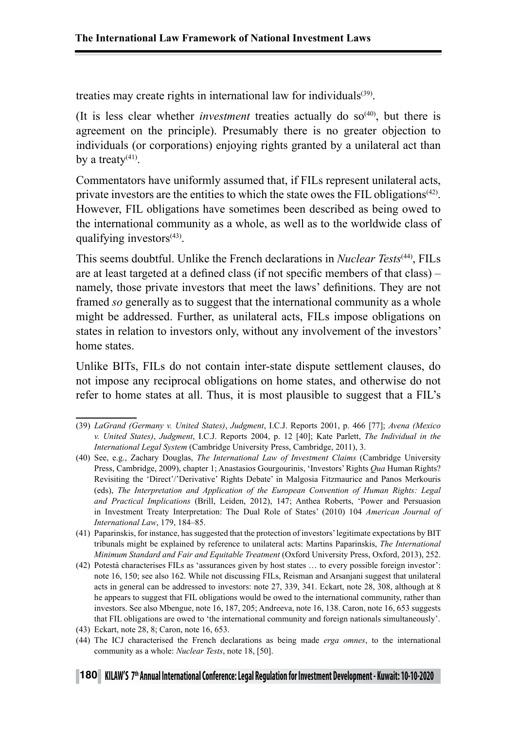treaties may create rights in international law for individuals<sup>(39)</sup>.

(It is less clear whether *investment* treaties actually do  $so^{(40)}$ , but there is agreement on the principle). Presumably there is no greater objection to individuals (or corporations) enjoying rights granted by a unilateral act than by a treaty $(41)$ .

Commentators have uniformly assumed that, if FILs represent unilateral acts, private investors are the entities to which the state owes the FIL obligations<sup> $(42)$ </sup>. However, FIL obligations have sometimes been described as being owed to the international community as a whole, as well as to the worldwide class of qualifying investors $(43)$ .

This seems doubtful. Unlike the French declarations in *Nuclear Tests*(44), FILs are at least targeted at a defined class (if not specific members of that class) – namely, those private investors that meet the laws' definitions. They are not framed *so* generally as to suggest that the international community as a whole might be addressed. Further, as unilateral acts, FILs impose obligations on states in relation to investors only, without any involvement of the investors' home states.

Unlike BITs, FILs do not contain inter-state dispute settlement clauses, do not impose any reciprocal obligations on home states, and otherwise do not refer to home states at all. Thus, it is most plausible to suggest that a FIL's

<sup>(39)</sup> *LaGrand (Germany v. United States)*, *Judgment*, I.C.J. Reports 2001, p. 466 [77]; *Avena (Mexico v. United States)*, *Judgment*, I.C.J. Reports 2004, p. 12 [40]; Kate Parlett, *The Individual in the International Legal System* (Cambridge University Press, Cambridge, 2011), 3.

<sup>(40)</sup> See, e.g., Zachary Douglas, *The International Law of Investment Claims* (Cambridge University Press, Cambridge, 2009), chapter 1; Anastasios Gourgourinis, 'Investors' Rights *Qua* Human Rights? Revisiting the 'Direct'/'Derivative' Rights Debate' in Malgosia Fitzmaurice and Panos Merkouris (eds), *The Interpretation and Application of the European Convention of Human Rights: Legal and Practical Implications* (Brill, Leiden, 2012), 147; Anthea Roberts, 'Power and Persuasion in Investment Treaty Interpretation: The Dual Role of States' (2010) 104 *American Journal of International Law*, 179, 184–85.

<sup>(41)</sup> Paparinskis, for instance, has suggested that the protection of investors' legitimate expectations by BIT tribunals might be explained by reference to unilateral acts: Martins Paparinskis, *The International Minimum Standard and Fair and Equitable Treatment* (Oxford University Press, Oxford, 2013), 252.

<sup>(42)</sup> Potestà characterises FILs as 'assurances given by host states … to every possible foreign investor': note 16, 150; see also 162. While not discussing FILs, Reisman and Arsanjani suggest that unilateral acts in general can be addressed to investors: note 27, 339, 341. Eckart, note 28, 308, although at 8 he appears to suggest that FIL obligations would be owed to the international community, rather than investors. See also Mbengue, note 16, 187, 205; Andreeva, note 16, 138. Caron, note 16, 653 suggests that FIL obligations are owed to 'the international community and foreign nationals simultaneously'.

<sup>(43)</sup> Eckart, note 28, 8; Caron, note 16, 653.

<sup>(44)</sup> The ICJ characterised the French declarations as being made *erga omnes*, to the international community as a whole: *Nuclear Tests*, note 18, [50].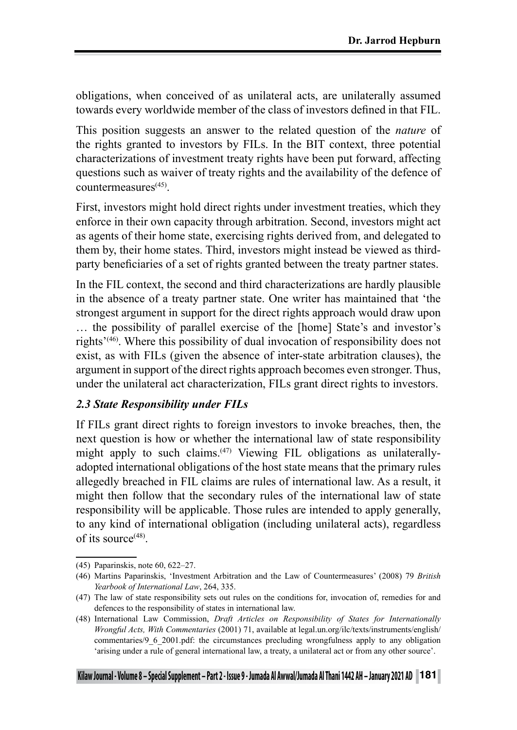obligations, when conceived of as unilateral acts, are unilaterally assumed towards every worldwide member of the class of investors defined in that FIL.

This position suggests an answer to the related question of the *nature* of the rights granted to investors by FILs. In the BIT context, three potential characterizations of investment treaty rights have been put forward, affecting questions such as waiver of treaty rights and the availability of the defence of countermeasures(45).

First, investors might hold direct rights under investment treaties, which they enforce in their own capacity through arbitration. Second, investors might act as agents of their home state, exercising rights derived from, and delegated to them by, their home states. Third, investors might instead be viewed as thirdparty beneficiaries of a set of rights granted between the treaty partner states.

In the FIL context, the second and third characterizations are hardly plausible in the absence of a treaty partner state. One writer has maintained that 'the strongest argument in support for the direct rights approach would draw upon … the possibility of parallel exercise of the [home] State's and investor's rights<sup>'(46)</sup>. Where this possibility of dual invocation of responsibility does not exist, as with FILs (given the absence of inter-state arbitration clauses), the argument in support of the direct rights approach becomes even stronger. Thus, under the unilateral act characterization, FILs grant direct rights to investors.

### *2.3 State Responsibility under FILs*

If FILs grant direct rights to foreign investors to invoke breaches, then, the next question is how or whether the international law of state responsibility might apply to such claims.(47) Viewing FIL obligations as unilaterallyadopted international obligations of the host state means that the primary rules allegedly breached in FIL claims are rules of international law. As a result, it might then follow that the secondary rules of the international law of state responsibility will be applicable. Those rules are intended to apply generally, to any kind of international obligation (including unilateral acts), regardless of its source $(48)$ .

<sup>(45)</sup> Paparinskis, note 60, 622–27.

<sup>(46)</sup> Martins Paparinskis, 'Investment Arbitration and the Law of Countermeasures' (2008) 79 *British Yearbook of International Law*, 264, 335.

<sup>(47)</sup> The law of state responsibility sets out rules on the conditions for, invocation of, remedies for and defences to the responsibility of states in international law.

<sup>(48)</sup> International Law Commission, *Draft Articles on Responsibility of States for Internationally Wrongful Acts, With Commentaries* (2001) 71, available at legal.un.org/ilc/texts/instruments/english/ commentaries/9\_6\_2001.pdf: the circumstances precluding wrongfulness apply to any obligation 'arising under a rule of general international law, a treaty, a unilateral act or from any other source'.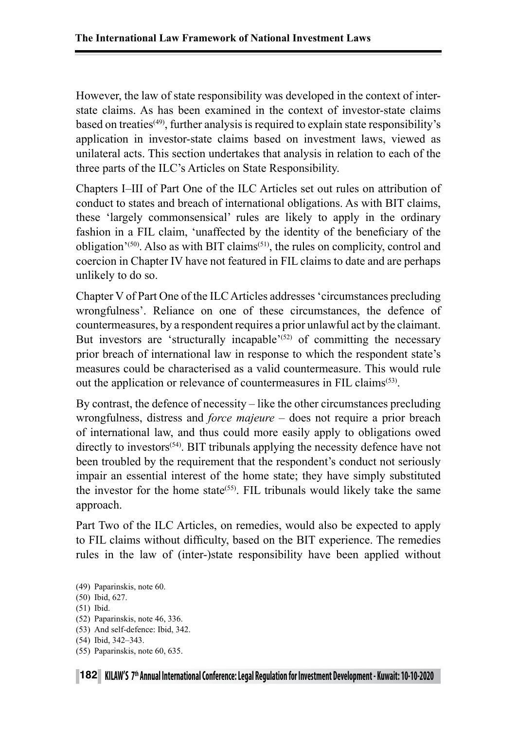However, the law of state responsibility was developed in the context of interstate claims. As has been examined in the context of investor-state claims based on treaties<sup>(49)</sup>, further analysis is required to explain state responsibility's application in investor-state claims based on investment laws, viewed as unilateral acts. This section undertakes that analysis in relation to each of the three parts of the ILC's Articles on State Responsibility.

Chapters I–III of Part One of the ILC Articles set out rules on attribution of conduct to states and breach of international obligations. As with BIT claims, these 'largely commonsensical' rules are likely to apply in the ordinary fashion in a FIL claim, 'unaffected by the identity of the beneficiary of the obligation<sup> $(50)$ </sup>. Also as with BIT claims<sup> $(51)$ </sup>, the rules on complicity, control and coercion in Chapter IV have not featured in FIL claims to date and are perhaps unlikely to do so.

Chapter V of Part One of the ILC Articles addresses 'circumstances precluding wrongfulness'. Reliance on one of these circumstances, the defence of countermeasures, by a respondent requires a prior unlawful act by the claimant. But investors are 'structurally incapable'<sup> $(52)$ </sup> of committing the necessary prior breach of international law in response to which the respondent state's measures could be characterised as a valid countermeasure. This would rule out the application or relevance of countermeasures in FIL claims(53).

By contrast, the defence of necessity – like the other circumstances precluding wrongfulness, distress and *force majeure* – does not require a prior breach of international law, and thus could more easily apply to obligations owed directly to investors<sup> $(54)$ </sup>. BIT tribunals applying the necessity defence have not been troubled by the requirement that the respondent's conduct not seriously impair an essential interest of the home state; they have simply substituted the investor for the home state<sup>(55)</sup>. FIL tribunals would likely take the same approach.

Part Two of the ILC Articles, on remedies, would also be expected to apply to FIL claims without difficulty, based on the BIT experience. The remedies rules in the law of (inter-)state responsibility have been applied without

<sup>(49)</sup> Paparinskis, note 60.

<sup>(50)</sup> Ibid, 627.

<sup>(51)</sup> Ibid.

<sup>(52)</sup> Paparinskis, note 46, 336.

<sup>(53)</sup> And self-defence: Ibid, 342.

<sup>(54)</sup> Ibid, 342–343.

<sup>(55)</sup> Paparinskis, note 60, 635.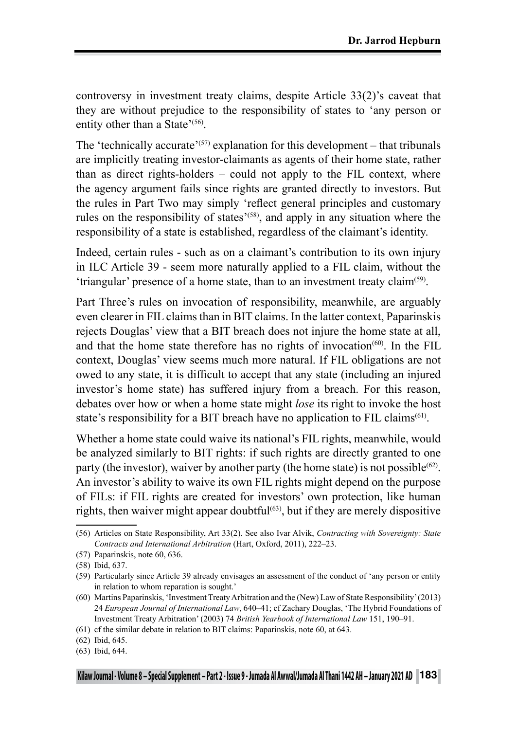controversy in investment treaty claims, despite Article 33(2)'s caveat that they are without prejudice to the responsibility of states to 'any person or entity other than a State'<sup>(56)</sup>.

The 'technically accurate'<sup>(57)</sup> explanation for this development – that tribunals are implicitly treating investor-claimants as agents of their home state, rather than as direct rights-holders – could not apply to the FIL context, where the agency argument fails since rights are granted directly to investors. But the rules in Part Two may simply 'reflect general principles and customary rules on the responsibility of states<sup>'(58)</sup>, and apply in any situation where the responsibility of a state is established, regardless of the claimant's identity.

Indeed, certain rules - such as on a claimant's contribution to its own injury in ILC Article 39 - seem more naturally applied to a FIL claim, without the 'triangular' presence of a home state, than to an investment treaty claim(59).

Part Three's rules on invocation of responsibility, meanwhile, are arguably even clearer in FIL claims than in BIT claims. In the latter context, Paparinskis rejects Douglas' view that a BIT breach does not injure the home state at all, and that the home state therefore has no rights of invocation<sup> $(60)$ </sup>. In the FIL context, Douglas' view seems much more natural. If FIL obligations are not owed to any state, it is difficult to accept that any state (including an injured investor's home state) has suffered injury from a breach. For this reason, debates over how or when a home state might *lose* its right to invoke the host state's responsibility for a BIT breach have no application to FIL claims<sup>(61)</sup>.

Whether a home state could waive its national's FIL rights, meanwhile, would be analyzed similarly to BIT rights: if such rights are directly granted to one party (the investor), waiver by another party (the home state) is not possible<sup>(62)</sup>. An investor's ability to waive its own FIL rights might depend on the purpose of FILs: if FIL rights are created for investors' own protection, like human rights, then waiver might appear doubtful<sup> $(63)$ </sup>, but if they are merely dispositive

<sup>(56)</sup> Articles on State Responsibility, Art 33(2). See also Ivar Alvik, *Contracting with Sovereignty: State Contracts and International Arbitration* (Hart, Oxford, 2011), 222–23.

<sup>(57)</sup> Paparinskis, note 60, 636.

<sup>(58)</sup> Ibid, 637.

<sup>(59)</sup> Particularly since Article 39 already envisages an assessment of the conduct of 'any person or entity in relation to whom reparation is sought.'

<sup>(60)</sup> Martins Paparinskis, 'Investment Treaty Arbitration and the (New) Law of State Responsibility' (2013) 24 *European Journal of International Law*, 640–41; cf Zachary Douglas, 'The Hybrid Foundations of Investment Treaty Arbitration' (2003) 74 *British Yearbook of International Law* 151, 190–91.

<sup>(61)</sup> cf the similar debate in relation to BIT claims: Paparinskis, note 60, at 643.

<sup>(62)</sup> Ibid, 645.

<sup>(63)</sup> Ibid, 644.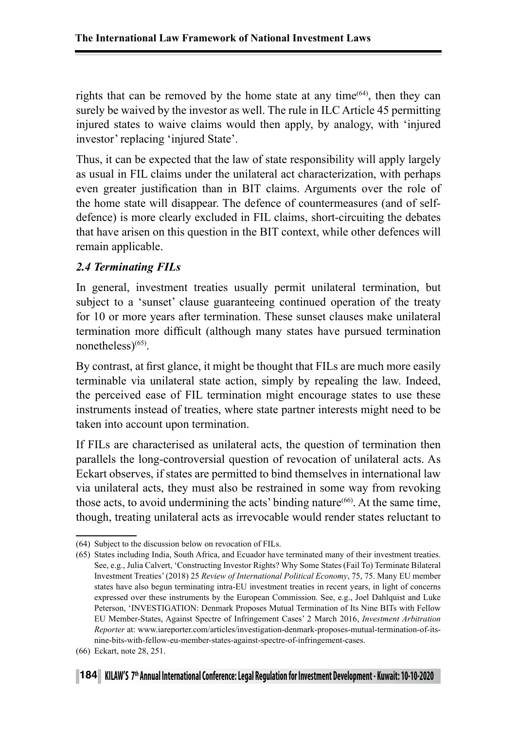rights that can be removed by the home state at any time<sup> $(64)$ </sup>, then they can surely be waived by the investor as well. The rule in ILC Article 45 permitting injured states to waive claims would then apply, by analogy, with 'injured investor' replacing 'injured State'.

Thus, it can be expected that the law of state responsibility will apply largely as usual in FIL claims under the unilateral act characterization, with perhaps even greater justification than in BIT claims. Arguments over the role of the home state will disappear. The defence of countermeasures (and of selfdefence) is more clearly excluded in FIL claims, short-circuiting the debates that have arisen on this question in the BIT context, while other defences will remain applicable.

# *2.4 Terminating FILs*

In general, investment treaties usually permit unilateral termination, but subject to a 'sunset' clause guaranteeing continued operation of the treaty for 10 or more years after termination. These sunset clauses make unilateral termination more difficult (although many states have pursued termination nonetheless $)^{(65)}$ .

By contrast, at first glance, it might be thought that FILs are much more easily terminable via unilateral state action, simply by repealing the law. Indeed, the perceived ease of FIL termination might encourage states to use these instruments instead of treaties, where state partner interests might need to be taken into account upon termination.

If FILs are characterised as unilateral acts, the question of termination then parallels the long-controversial question of revocation of unilateral acts. As Eckart observes, if states are permitted to bind themselves in international law via unilateral acts, they must also be restrained in some way from revoking those acts, to avoid undermining the acts' binding nature(66). At the same time, though, treating unilateral acts as irrevocable would render states reluctant to

<sup>(64)</sup> Subject to the discussion below on revocation of FILs.

<sup>(65)</sup> States including India, South Africa, and Ecuador have terminated many of their investment treaties. See, e.g., Julia Calvert, 'Constructing Investor Rights? Why Some States (Fail To) Terminate Bilateral Investment Treaties' (2018) 25 *Review of International Political Economy*, 75, 75. Many EU member states have also begun terminating intra-EU investment treaties in recent years, in light of concerns expressed over these instruments by the European Commission. See, e.g., Joel Dahlquist and Luke Peterson, 'INVESTIGATION: Denmark Proposes Mutual Termination of Its Nine BITs with Fellow EU Member-States, Against Spectre of Infringement Cases' 2 March 2016, *Investment Arbitration Reporter* at: www.iareporter.com/articles/investigation-denmark-proposes-mutual-termination-of-itsnine-bits-with-fellow-eu-member-states-against-spectre-of-infringement-cases.

<sup>(66)</sup> Eckart, note 28, 251.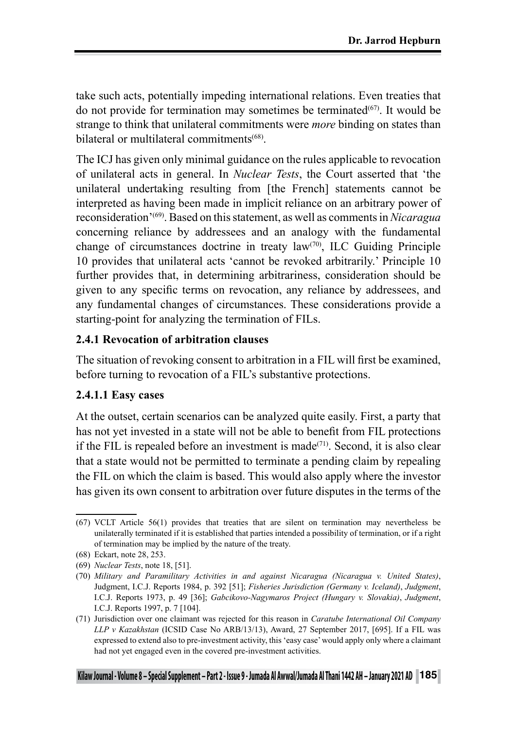take such acts, potentially impeding international relations. Even treaties that do not provide for termination may sometimes be terminated $(67)$ . It would be strange to think that unilateral commitments were *more* binding on states than bilateral or multilateral commitments<sup>(68)</sup>

The ICJ has given only minimal guidance on the rules applicable to revocation of unilateral acts in general. In *Nuclear Tests*, the Court asserted that 'the unilateral undertaking resulting from [the French] statements cannot be interpreted as having been made in implicit reliance on an arbitrary power of reconsideration'(69). Based on this statement, as well as comments in *Nicaragua*  concerning reliance by addressees and an analogy with the fundamental change of circumstances doctrine in treaty  $law^{(70)}$ , ILC Guiding Principle 10 provides that unilateral acts 'cannot be revoked arbitrarily.' Principle 10 further provides that, in determining arbitrariness, consideration should be given to any specific terms on revocation, any reliance by addressees, and any fundamental changes of circumstances. These considerations provide a starting-point for analyzing the termination of FILs.

## **2.4.1 Revocation of arbitration clauses**

The situation of revoking consent to arbitration in a FIL will first be examined, before turning to revocation of a FIL's substantive protections.

# **2.4.1.1 Easy cases**

At the outset, certain scenarios can be analyzed quite easily. First, a party that has not yet invested in a state will not be able to benefit from FIL protections if the FIL is repealed before an investment is made $(71)$ . Second, it is also clear that a state would not be permitted to terminate a pending claim by repealing the FIL on which the claim is based. This would also apply where the investor has given its own consent to arbitration over future disputes in the terms of the

<sup>(67)</sup> VCLT Article 56(1) provides that treaties that are silent on termination may nevertheless be unilaterally terminated if it is established that parties intended a possibility of termination, or if a right of termination may be implied by the nature of the treaty.

<sup>(68)</sup> Eckart, note 28, 253.

<sup>(69)</sup> *Nuclear Tests*, note 18, [51].

<sup>(70)</sup> *Military and Paramilitary Activities in and against Nicaragua (Nicaragua v. United States)*, Judgment, I.C.J. Reports 1984, p. 392 [51]; *Fisheries Jurisdiction (Germany v. Iceland)*, *Judgment*, I.C.J. Reports 1973, p. 49 [36]; *Gabcikovo-Nagymaros Project (Hungary v. Slovakia)*, *Judgment*, I.C.J. Reports 1997, p. 7 [104].

<sup>(71)</sup> Jurisdiction over one claimant was rejected for this reason in *Caratube International Oil Company LLP v Kazakhstan* (ICSID Case No ARB/13/13), Award, 27 September 2017, [695]. If a FIL was expressed to extend also to pre-investment activity, this 'easy case' would apply only where a claimant had not yet engaged even in the covered pre-investment activities.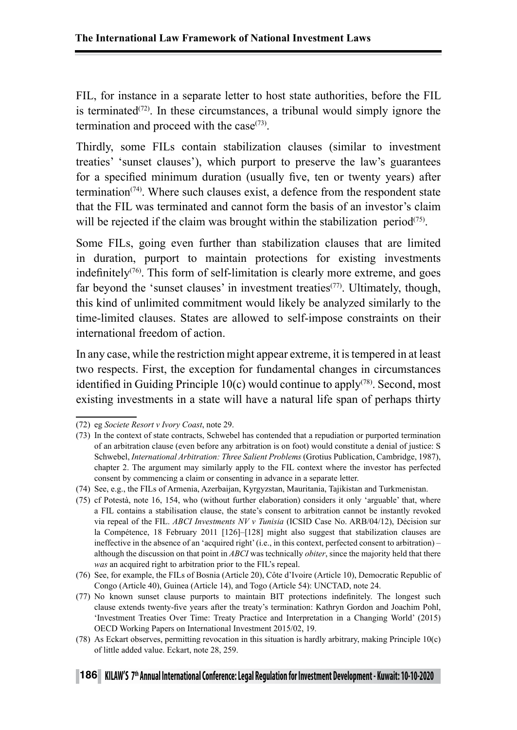FIL, for instance in a separate letter to host state authorities, before the FIL is terminated<sup> $(72)$ </sup>. In these circumstances, a tribunal would simply ignore the termination and proceed with the case $(73)$ .

Thirdly, some FILs contain stabilization clauses (similar to investment treaties' 'sunset clauses'), which purport to preserve the law's guarantees for a specified minimum duration (usually five, ten or twenty years) after termination<sup> $(74)$ </sup>. Where such clauses exist, a defence from the respondent state that the FIL was terminated and cannot form the basis of an investor's claim will be rejected if the claim was brought within the stabilization period<sup> $(75)$ </sup>.

Some FILs, going even further than stabilization clauses that are limited in duration, purport to maintain protections for existing investments indefinitely<sup> $(76)$ </sup>. This form of self-limitation is clearly more extreme, and goes far beyond the 'sunset clauses' in investment treaties<sup>(77)</sup>. Ultimately, though, this kind of unlimited commitment would likely be analyzed similarly to the time-limited clauses. States are allowed to self-impose constraints on their international freedom of action.

In any case, while the restriction might appear extreme, it is tempered in at least two respects. First, the exception for fundamental changes in circumstances identified in Guiding Principle  $10(c)$  would continue to apply<sup>(78)</sup>. Second, most existing investments in a state will have a natural life span of perhaps thirty

(78) As Eckart observes, permitting revocation in this situation is hardly arbitrary, making Principle 10(c) of little added value. Eckart, note 28, 259.

<sup>(72)</sup> eg *Societe Resort v Ivory Coast*, note 29.

<sup>(73)</sup> In the context of state contracts, Schwebel has contended that a repudiation or purported termination of an arbitration clause (even before any arbitration is on foot) would constitute a denial of justice: S Schwebel, *International Arbitration: Three Salient Problems* (Grotius Publication, Cambridge, 1987), chapter 2. The argument may similarly apply to the FIL context where the investor has perfected consent by commencing a claim or consenting in advance in a separate letter.

<sup>(74)</sup> See, e.g., the FILs of Armenia, Azerbaijan, Kyrgyzstan, Mauritania, Tajikistan and Turkmenistan.

<sup>(75)</sup> cf Potestà, note 16, 154, who (without further elaboration) considers it only 'arguable' that, where a FIL contains a stabilisation clause, the state's consent to arbitration cannot be instantly revoked via repeal of the FIL. *ABCI Investments NV v Tunisia* (ICSID Case No. ARB/04/12), Décision sur la Compétence, 18 February 2011 [126]–[128] might also suggest that stabilization clauses are ineffective in the absence of an 'acquired right' (i.e., in this context, perfected consent to arbitration) – although the discussion on that point in *ABCI* was technically *obiter*, since the majority held that there *was* an acquired right to arbitration prior to the FIL's repeal.

<sup>(76)</sup> See, for example, the FILs of Bosnia (Article 20), Côte d'Ivoire (Article 10), Democratic Republic of Congo (Article 40), Guinea (Article 14), and Togo (Article 54): UNCTAD, note 24.

<sup>(77)</sup> No known sunset clause purports to maintain BIT protections indefinitely. The longest such clause extends twenty-five years after the treaty's termination: Kathryn Gordon and Joachim Pohl, 'Investment Treaties Over Time: Treaty Practice and Interpretation in a Changing World' (2015) OECD Working Papers on International Investment 2015/02, 19.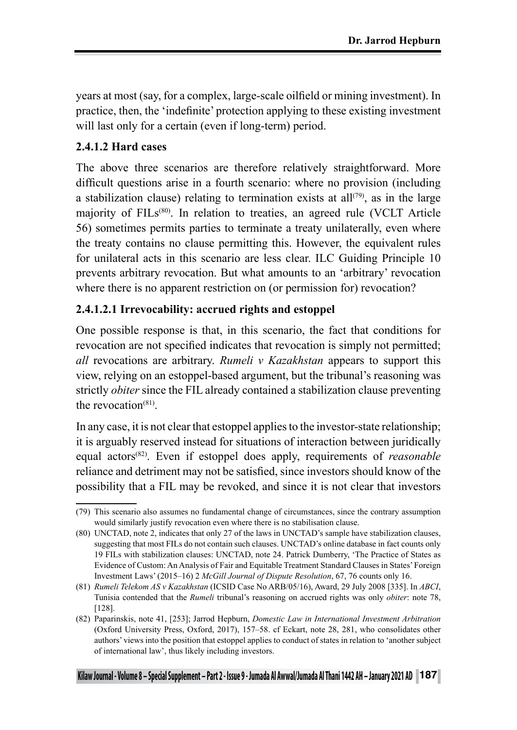years at most (say, for a complex, large-scale oilfield or mining investment). In practice, then, the 'indefinite' protection applying to these existing investment will last only for a certain (even if long-term) period.

# **2.4.1.2 Hard cases**

The above three scenarios are therefore relatively straightforward. More difficult questions arise in a fourth scenario: where no provision (including a stabilization clause) relating to termination exists at all<sup> $(79)$ </sup>, as in the large majority of  $FILs<sup>(80)</sup>$ . In relation to treaties, an agreed rule (VCLT Article 56) sometimes permits parties to terminate a treaty unilaterally, even where the treaty contains no clause permitting this. However, the equivalent rules for unilateral acts in this scenario are less clear. ILC Guiding Principle 10 prevents arbitrary revocation. But what amounts to an 'arbitrary' revocation where there is no apparent restriction on (or permission for) revocation?

## **2.4.1.2.1 Irrevocability: accrued rights and estoppel**

One possible response is that, in this scenario, the fact that conditions for revocation are not specified indicates that revocation is simply not permitted; *all* revocations are arbitrary. *Rumeli v Kazakhstan* appears to support this view, relying on an estoppel-based argument, but the tribunal's reasoning was strictly *obiter* since the FIL already contained a stabilization clause preventing the revocation<sup>(81)</sup>

In any case, it is not clear that estoppel applies to the investor-state relationship; it is arguably reserved instead for situations of interaction between juridically equal actors<sup>(82)</sup>. Even if estoppel does apply, requirements of *reasonable* reliance and detriment may not be satisfied, since investors should know of the possibility that a FIL may be revoked, and since it is not clear that investors

<sup>(79)</sup> This scenario also assumes no fundamental change of circumstances, since the contrary assumption would similarly justify revocation even where there is no stabilisation clause.

<sup>(80)</sup> UNCTAD, note 2, indicates that only 27 of the laws in UNCTAD's sample have stabilization clauses, suggesting that most FILs do not contain such clauses. UNCTAD's online database in fact counts only 19 FILs with stabilization clauses: UNCTAD, note 24. Patrick Dumberry, 'The Practice of States as Evidence of Custom: An Analysis of Fair and Equitable Treatment Standard Clauses in States' Foreign Investment Laws' (2015–16) 2 *McGill Journal of Dispute Resolution*, 67, 76 counts only 16.

<sup>(81)</sup> *Rumeli Telekom AS v Kazakhstan* (ICSID Case No ARB/05/16), Award, 29 July 2008 [335]. In *ABCI*, Tunisia contended that the *Rumeli* tribunal's reasoning on accrued rights was only *obiter*: note 78, [128].

<sup>(82)</sup> Paparinskis, note 41, [253]; Jarrod Hepburn, *Domestic Law in International Investment Arbitration* (Oxford University Press, Oxford, 2017), 157–58. cf Eckart, note 28, 281, who consolidates other authors' views into the position that estoppel applies to conduct of states in relation to 'another subject of international law', thus likely including investors.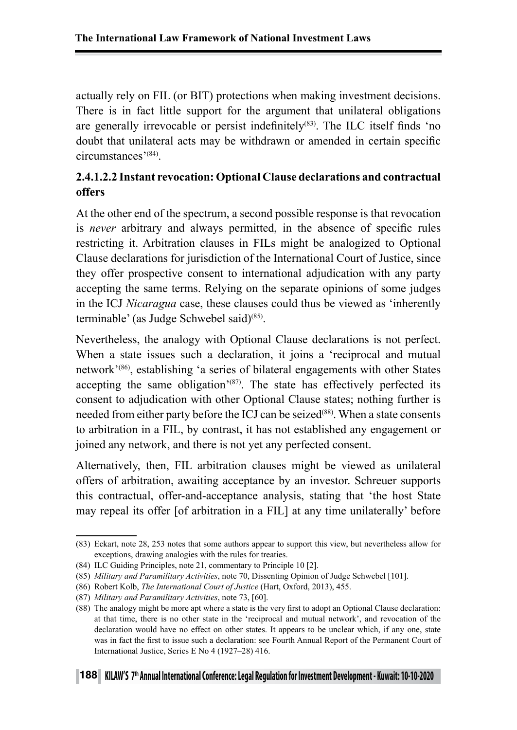actually rely on FIL (or BIT) protections when making investment decisions. There is in fact little support for the argument that unilateral obligations are generally irrevocable or persist indefinitely<sup>(83)</sup>. The ILC itself finds 'no doubt that unilateral acts may be withdrawn or amended in certain specific circumstances'(84).

# **2.4.1.2.2 Instant revocation: Optional Clause declarations and contractual offers**

At the other end of the spectrum, a second possible response is that revocation is *never* arbitrary and always permitted, in the absence of specific rules restricting it. Arbitration clauses in FILs might be analogized to Optional Clause declarations for jurisdiction of the International Court of Justice, since they offer prospective consent to international adjudication with any party accepting the same terms. Relying on the separate opinions of some judges in the ICJ *Nicaragua* case, these clauses could thus be viewed as 'inherently terminable' (as Judge Schwebel said)<sup>(85)</sup>.

Nevertheless, the analogy with Optional Clause declarations is not perfect. When a state issues such a declaration, it joins a 'reciprocal and mutual network'(86), establishing 'a series of bilateral engagements with other States accepting the same obligation<sup> $(87)$ </sup>. The state has effectively perfected its consent to adjudication with other Optional Clause states; nothing further is needed from either party before the ICJ can be seized<sup>(88)</sup>. When a state consents to arbitration in a FIL, by contrast, it has not established any engagement or joined any network, and there is not yet any perfected consent.

Alternatively, then, FIL arbitration clauses might be viewed as unilateral offers of arbitration, awaiting acceptance by an investor. Schreuer supports this contractual, offer-and-acceptance analysis, stating that 'the host State may repeal its offer [of arbitration in a FIL] at any time unilaterally' before

<sup>(83)</sup> Eckart, note 28, 253 notes that some authors appear to support this view, but nevertheless allow for exceptions, drawing analogies with the rules for treaties.

<sup>(84)</sup> ILC Guiding Principles, note 21, commentary to Principle 10 [2].

<sup>(85)</sup> *Military and Paramilitary Activities*, note 70, Dissenting Opinion of Judge Schwebel [101].

<sup>(86)</sup> Robert Kolb, *The International Court of Justice* (Hart, Oxford, 2013), 455.

<sup>(87)</sup> *Military and Paramilitary Activities*, note 73, [60].

<sup>(88)</sup> The analogy might be more apt where a state is the very first to adopt an Optional Clause declaration: at that time, there is no other state in the 'reciprocal and mutual network', and revocation of the declaration would have no effect on other states. It appears to be unclear which, if any one, state was in fact the first to issue such a declaration: see Fourth Annual Report of the Permanent Court of International Justice, Series E No 4 (1927–28) 416.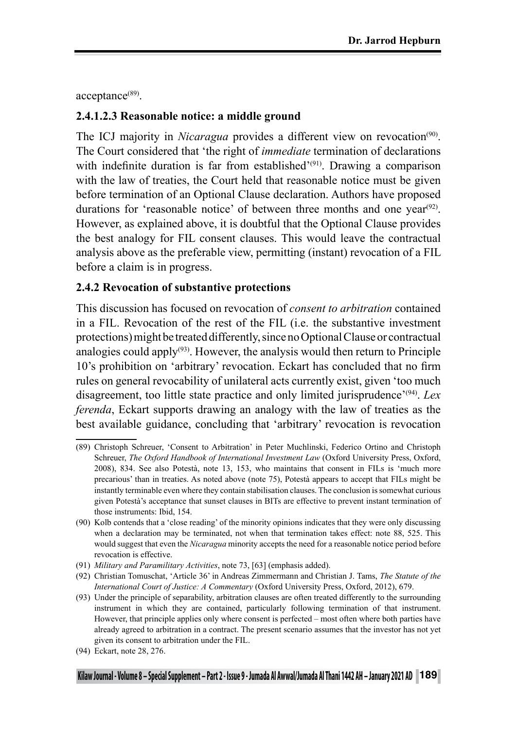acceptance<sup>(89)</sup>.

## **2.4.1.2.3 Reasonable notice: a middle ground**

The ICJ majority in *Nicaragua* provides a different view on revocation<sup>(90)</sup>. The Court considered that 'the right of *immediate* termination of declarations with indefinite duration is far from established<sup>'(91)</sup>. Drawing a comparison with the law of treaties, the Court held that reasonable notice must be given before termination of an Optional Clause declaration. Authors have proposed durations for 'reasonable notice' of between three months and one year<sup>(92)</sup>. However, as explained above, it is doubtful that the Optional Clause provides the best analogy for FIL consent clauses. This would leave the contractual analysis above as the preferable view, permitting (instant) revocation of a FIL before a claim is in progress.

#### **2.4.2 Revocation of substantive protections**

This discussion has focused on revocation of *consent to arbitration* contained in a FIL. Revocation of the rest of the FIL (i.e. the substantive investment protections) might be treated differently, since no Optional Clause or contractual analogies could apply $(93)$ . However, the analysis would then return to Principle 10's prohibition on 'arbitrary' revocation. Eckart has concluded that no firm rules on general revocability of unilateral acts currently exist, given 'too much disagreement, too little state practice and only limited jurisprudence'(94). *Lex ferenda*, Eckart supports drawing an analogy with the law of treaties as the best available guidance, concluding that 'arbitrary' revocation is revocation

<sup>(89)</sup> Christoph Schreuer, 'Consent to Arbitration' in Peter Muchlinski, Federico Ortino and Christoph Schreuer, *The Oxford Handbook of International Investment Law* (Oxford University Press, Oxford, 2008), 834. See also Potestà, note 13, 153, who maintains that consent in FILs is 'much more precarious' than in treaties. As noted above (note 75), Potestà appears to accept that FILs might be instantly terminable even where they contain stabilisation clauses. The conclusion is somewhat curious given Potestà's acceptance that sunset clauses in BITs are effective to prevent instant termination of those instruments: Ibid, 154.

<sup>(90)</sup> Kolb contends that a 'close reading' of the minority opinions indicates that they were only discussing when a declaration may be terminated, not when that termination takes effect: note 88, 525. This would suggest that even the *Nicaragua* minority accepts the need for a reasonable notice period before revocation is effective.

<sup>(91)</sup> *Military and Paramilitary Activities*, note 73, [63] (emphasis added).

<sup>(92)</sup> Christian Tomuschat, 'Article 36' in Andreas Zimmermann and Christian J. Tams, *The Statute of the International Court of Justice: A Commentary* (Oxford University Press, Oxford, 2012), 679.

<sup>(93)</sup> Under the principle of separability, arbitration clauses are often treated differently to the surrounding instrument in which they are contained, particularly following termination of that instrument. However, that principle applies only where consent is perfected – most often where both parties have already agreed to arbitration in a contract. The present scenario assumes that the investor has not yet given its consent to arbitration under the FIL.

<sup>(94)</sup> Eckart, note 28, 276.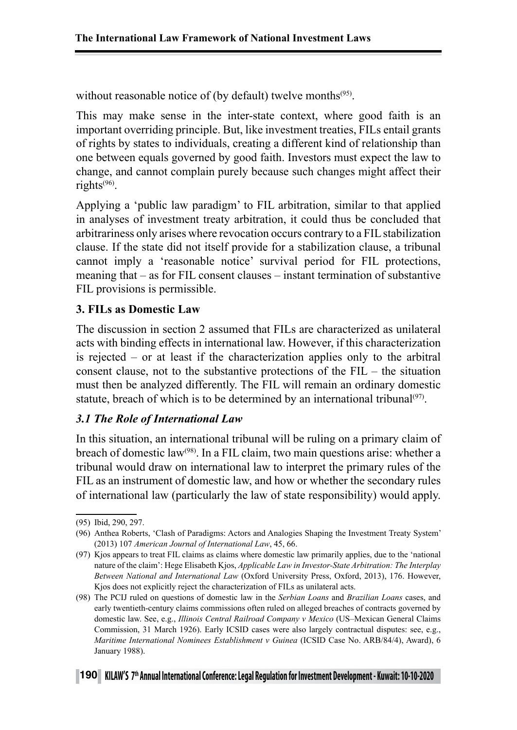without reasonable notice of (by default) twelve months<sup>(95)</sup>.

This may make sense in the inter-state context, where good faith is an important overriding principle. But, like investment treaties, FILs entail grants of rights by states to individuals, creating a different kind of relationship than one between equals governed by good faith. Investors must expect the law to change, and cannot complain purely because such changes might affect their rights(96).

Applying a 'public law paradigm' to FIL arbitration, similar to that applied in analyses of investment treaty arbitration, it could thus be concluded that arbitrariness only arises where revocation occurs contrary to a FIL stabilization clause. If the state did not itself provide for a stabilization clause, a tribunal cannot imply a 'reasonable notice' survival period for FIL protections, meaning that – as for FIL consent clauses – instant termination of substantive FIL provisions is permissible.

## **3. FILs as Domestic Law**

The discussion in section 2 assumed that FILs are characterized as unilateral acts with binding effects in international law. However, if this characterization is rejected – or at least if the characterization applies only to the arbitral consent clause, not to the substantive protections of the FIL – the situation must then be analyzed differently. The FIL will remain an ordinary domestic statute, breach of which is to be determined by an international tribunal<sup>(97)</sup>.

# *3.1 The Role of International Law*

In this situation, an international tribunal will be ruling on a primary claim of breach of domestic law<sup>(98)</sup>. In a FIL claim, two main questions arise: whether a tribunal would draw on international law to interpret the primary rules of the FIL as an instrument of domestic law, and how or whether the secondary rules of international law (particularly the law of state responsibility) would apply.

<sup>(95)</sup> Ibid, 290, 297.

<sup>(96)</sup> Anthea Roberts, 'Clash of Paradigms: Actors and Analogies Shaping the Investment Treaty System' (2013) 107 *American Journal of International Law*, 45, 66.

<sup>(97)</sup> Kjos appears to treat FIL claims as claims where domestic law primarily applies, due to the 'national nature of the claim': Hege Elisabeth Kjos, *Applicable Law in Investor-State Arbitration: The Interplay Between National and International Law* (Oxford University Press, Oxford, 2013), 176. However, Kjos does not explicitly reject the characterization of FILs as unilateral acts.

<sup>(98)</sup> The PCIJ ruled on questions of domestic law in the *Serbian Loans* and *Brazilian Loans* cases, and early twentieth-century claims commissions often ruled on alleged breaches of contracts governed by domestic law. See, e.g., *Illinois Central Railroad Company v Mexico* (US–Mexican General Claims Commission, 31 March 1926). Early ICSID cases were also largely contractual disputes: see, e.g., *Maritime International Nominees Establishment v Guinea* (ICSID Case No. ARB/84/4), Award), 6 January 1988).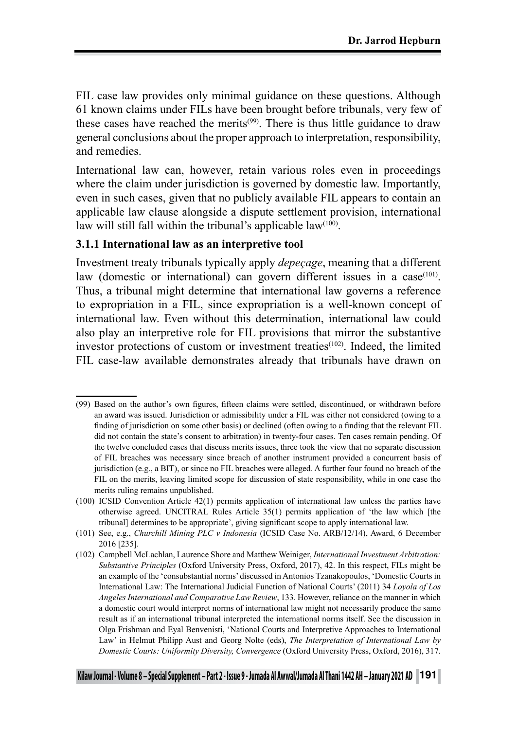FIL case law provides only minimal guidance on these questions. Although 61 known claims under FILs have been brought before tribunals, very few of these cases have reached the merits<sup> $(99)$ </sup>. There is thus little guidance to draw general conclusions about the proper approach to interpretation, responsibility, and remedies.

International law can, however, retain various roles even in proceedings where the claim under jurisdiction is governed by domestic law. Importantly, even in such cases, given that no publicly available FIL appears to contain an applicable law clause alongside a dispute settlement provision, international law will still fall within the tribunal's applicable law $(100)$ .

#### **3.1.1 International law as an interpretive tool**

Investment treaty tribunals typically apply *depeçage*, meaning that a different law (domestic or international) can govern different issues in a case $(101)$ . Thus, a tribunal might determine that international law governs a reference to expropriation in a FIL, since expropriation is a well-known concept of international law. Even without this determination, international law could also play an interpretive role for FIL provisions that mirror the substantive investor protections of custom or investment treaties<sup>(102)</sup>. Indeed, the limited FIL case-law available demonstrates already that tribunals have drawn on

<sup>(99)</sup> Based on the author's own figures, fifteen claims were settled, discontinued, or withdrawn before an award was issued. Jurisdiction or admissibility under a FIL was either not considered (owing to a finding of jurisdiction on some other basis) or declined (often owing to a finding that the relevant FIL did not contain the state's consent to arbitration) in twenty-four cases. Ten cases remain pending. Of the twelve concluded cases that discuss merits issues, three took the view that no separate discussion of FIL breaches was necessary since breach of another instrument provided a concurrent basis of jurisdiction (e.g., a BIT), or since no FIL breaches were alleged. A further four found no breach of the FIL on the merits, leaving limited scope for discussion of state responsibility, while in one case the merits ruling remains unpublished.

<sup>(100)</sup> ICSID Convention Article 42(1) permits application of international law unless the parties have otherwise agreed. UNCITRAL Rules Article 35(1) permits application of 'the law which [the tribunal] determines to be appropriate', giving significant scope to apply international law.

<sup>(101)</sup> See, e.g., *Churchill Mining PLC v Indonesia* (ICSID Case No. ARB/12/14), Award, 6 December 2016 [235].

<sup>(102)</sup> Campbell McLachlan, Laurence Shore and Matthew Weiniger, *International Investment Arbitration: Substantive Principles* (Oxford University Press, Oxford, 2017), 42. In this respect, FILs might be an example of the 'consubstantial norms' discussed in Antonios Tzanakopoulos, 'Domestic Courts in International Law: The International Judicial Function of National Courts' (2011) 34 *Loyola of Los Angeles International and Comparative Law Review*, 133. However, reliance on the manner in which a domestic court would interpret norms of international law might not necessarily produce the same result as if an international tribunal interpreted the international norms itself. See the discussion in Olga Frishman and Eyal Benvenisti, 'National Courts and Interpretive Approaches to International Law' in Helmut Philipp Aust and Georg Nolte (eds), *The Interpretation of International Law by Domestic Courts: Uniformity Diversity, Convergence* (Oxford University Press, Oxford, 2016), 317.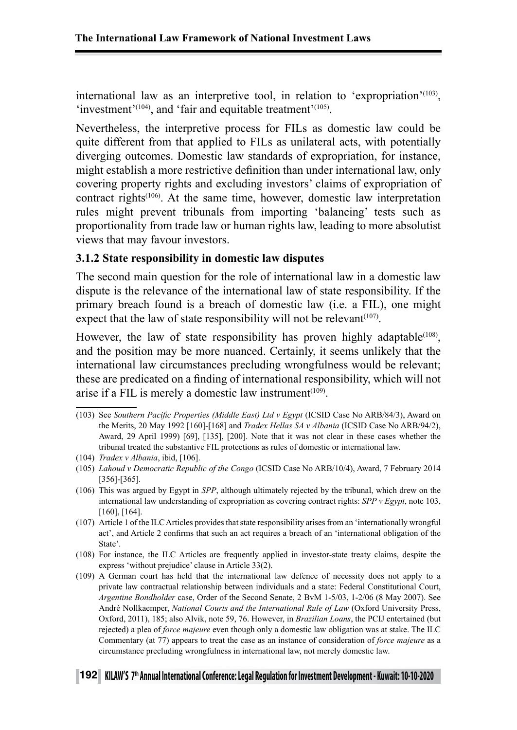international law as an interpretive tool, in relation to 'expropriation'<sup>(103)</sup>, 'investment'<sup>(104)</sup>, and 'fair and equitable treatment'<sup>(105)</sup>.

Nevertheless, the interpretive process for FILs as domestic law could be quite different from that applied to FILs as unilateral acts, with potentially diverging outcomes. Domestic law standards of expropriation, for instance, might establish a more restrictive definition than under international law, only covering property rights and excluding investors' claims of expropriation of contract rights<sup>(106)</sup>. At the same time, however, domestic law interpretation rules might prevent tribunals from importing 'balancing' tests such as proportionality from trade law or human rights law, leading to more absolutist views that may favour investors.

#### **3.1.2 State responsibility in domestic law disputes**

The second main question for the role of international law in a domestic law dispute is the relevance of the international law of state responsibility. If the primary breach found is a breach of domestic law (i.e. a FIL), one might expect that the law of state responsibility will not be relevant $(107)$ .

However, the law of state responsibility has proven highly adaptable<sup> $(108)$ </sup>. and the position may be more nuanced. Certainly, it seems unlikely that the international law circumstances precluding wrongfulness would be relevant; these are predicated on a finding of international responsibility, which will not arise if a FIL is merely a domestic law instrument<sup> $(109)$ </sup>.

(103) See *Southern Pacific Properties (Middle East) Ltd v Egypt* (ICSID Case No ARB/84/3), Award on the Merits, 20 May 1992 [160]-[168] and *Tradex Hellas SA v Albania* (ICSID Case No ARB/94/2), Award, 29 April 1999) [69], [135], [200]. Note that it was not clear in these cases whether the tribunal treated the substantive FIL protections as rules of domestic or international law.

- (105) *Lahoud v Democratic Republic of the Congo* (ICSID Case No ARB/10/4), Award, 7 February 2014 [356]-[365]*.*
- (106) This was argued by Egypt in *SPP*, although ultimately rejected by the tribunal, which drew on the international law understanding of expropriation as covering contract rights: *SPP v Egypt*, note 103, [160], [164].
- (107) Article 1 of the ILC Articles provides that state responsibility arises from an 'internationally wrongful act', and Article 2 confirms that such an act requires a breach of an 'international obligation of the State'.
- (108) For instance, the ILC Articles are frequently applied in investor-state treaty claims, despite the express 'without prejudice' clause in Article 33(2).
- (109) A German court has held that the international law defence of necessity does not apply to a private law contractual relationship between individuals and a state: Federal Constitutional Court, *Argentine Bondholder* case, Order of the Second Senate, 2 BvM 1-5/03, 1-2/06 (8 May 2007). See André Nollkaemper, *National Courts and the International Rule of Law* (Oxford University Press, Oxford, 2011), 185; also Alvik, note 59, 76. However, in *Brazilian Loans*, the PCIJ entertained (but rejected) a plea of *force majeure* even though only a domestic law obligation was at stake. The ILC Commentary (at 77) appears to treat the case as an instance of consideration of *force majeure* as a circumstance precluding wrongfulness in international law, not merely domestic law.

<sup>(104)</sup> *Tradex v Albania*, ibid, [106].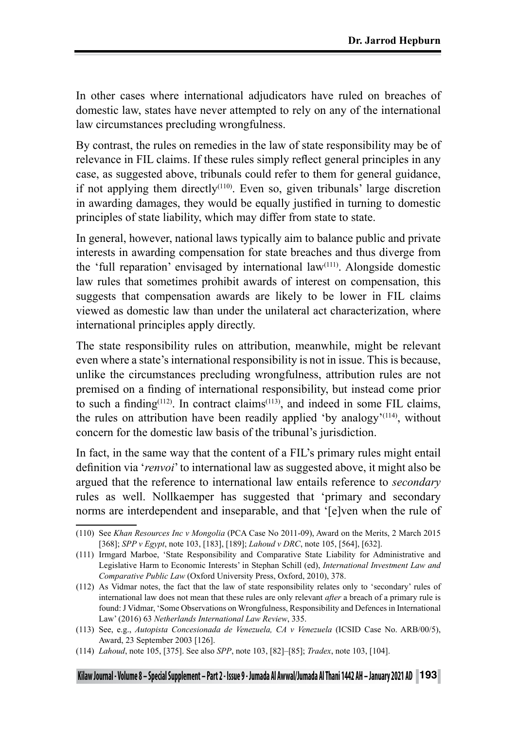In other cases where international adjudicators have ruled on breaches of domestic law, states have never attempted to rely on any of the international law circumstances precluding wrongfulness.

By contrast, the rules on remedies in the law of state responsibility may be of relevance in FIL claims. If these rules simply reflect general principles in any case, as suggested above, tribunals could refer to them for general guidance, if not applying them directly<sup> $(110)$ </sup>. Even so, given tribunals' large discretion in awarding damages, they would be equally justified in turning to domestic principles of state liability, which may differ from state to state.

In general, however, national laws typically aim to balance public and private interests in awarding compensation for state breaches and thus diverge from the 'full reparation' envisaged by international law(111). Alongside domestic law rules that sometimes prohibit awards of interest on compensation, this suggests that compensation awards are likely to be lower in FIL claims viewed as domestic law than under the unilateral act characterization, where international principles apply directly.

The state responsibility rules on attribution, meanwhile, might be relevant even where a state's international responsibility is not in issue. This is because, unlike the circumstances precluding wrongfulness, attribution rules are not premised on a finding of international responsibility, but instead come prior to such a finding<sup>(112)</sup>. In contract claims<sup>(113)</sup>, and indeed in some FIL claims, the rules on attribution have been readily applied 'by analogy'<sup>(114)</sup>, without concern for the domestic law basis of the tribunal's jurisdiction.

In fact, in the same way that the content of a FIL's primary rules might entail definition via '*renvoi*' to international law as suggested above, it might also be argued that the reference to international law entails reference to *secondary* rules as well. Nollkaemper has suggested that 'primary and secondary norms are interdependent and inseparable, and that '[e]ven when the rule of

<sup>(110)</sup> See *Khan Resources Inc v Mongolia* (PCA Case No 2011-09), Award on the Merits, 2 March 2015 [368]; *SPP v Egypt*, note 103, [183], [189]; *Lahoud v DRC*, note 105, [564], [632].

<sup>(111)</sup> Irmgard Marboe, 'State Responsibility and Comparative State Liability for Administrative and Legislative Harm to Economic Interests' in Stephan Schill (ed), *International Investment Law and Comparative Public Law* (Oxford University Press, Oxford, 2010), 378.

<sup>(112)</sup> As Vidmar notes, the fact that the law of state responsibility relates only to 'secondary' rules of international law does not mean that these rules are only relevant *after* a breach of a primary rule is found: J Vidmar, 'Some Observations on Wrongfulness, Responsibility and Defences in International Law' (2016) 63 *Netherlands International Law Review*, 335.

<sup>(113)</sup> See, e.g., *Autopista Concesionada de Venezuela, CA v Venezuela* (ICSID Case No. ARB/00/5), Award, 23 September 2003 [126].

<sup>(114)</sup> *Lahoud*, note 105, [375]. See also *SPP*, note 103, [82]–[85]; *Tradex*, note 103, [104].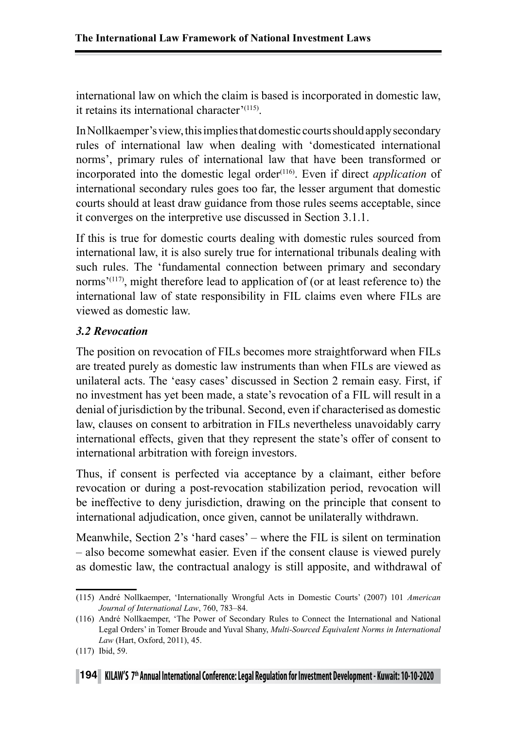international law on which the claim is based is incorporated in domestic law, it retains its international character'(115).

In Nollkaemper's view, this implies that domestic courts should apply secondary rules of international law when dealing with 'domesticated international norms', primary rules of international law that have been transformed or incorporated into the domestic legal order<sup>(116)</sup>. Even if direct *application* of international secondary rules goes too far, the lesser argument that domestic courts should at least draw guidance from those rules seems acceptable, since it converges on the interpretive use discussed in Section 3.1.1.

If this is true for domestic courts dealing with domestic rules sourced from international law, it is also surely true for international tribunals dealing with such rules. The 'fundamental connection between primary and secondary norms<sup> $(117)$ </sup>, might therefore lead to application of (or at least reference to) the international law of state responsibility in FIL claims even where FILs are viewed as domestic law.

## *3.2 Revocation*

The position on revocation of FILs becomes more straightforward when FILs are treated purely as domestic law instruments than when FILs are viewed as unilateral acts. The 'easy cases' discussed in Section 2 remain easy. First, if no investment has yet been made, a state's revocation of a FIL will result in a denial of jurisdiction by the tribunal. Second, even if characterised as domestic law, clauses on consent to arbitration in FILs nevertheless unavoidably carry international effects, given that they represent the state's offer of consent to international arbitration with foreign investors.

Thus, if consent is perfected via acceptance by a claimant, either before revocation or during a post-revocation stabilization period, revocation will be ineffective to deny jurisdiction, drawing on the principle that consent to international adjudication, once given, cannot be unilaterally withdrawn.

Meanwhile, Section 2's 'hard cases' – where the FIL is silent on termination – also become somewhat easier. Even if the consent clause is viewed purely as domestic law, the contractual analogy is still apposite, and withdrawal of

<sup>(115)</sup> André Nollkaemper, 'Internationally Wrongful Acts in Domestic Courts' (2007) 101 *American Journal of International Law*, 760, 783–84.

<sup>(116)</sup> André Nollkaemper, 'The Power of Secondary Rules to Connect the International and National Legal Orders' in Tomer Broude and Yuval Shany, *Multi-Sourced Equivalent Norms in International Law* (Hart, Oxford, 2011), 45.

<sup>(117)</sup> Ibid, 59.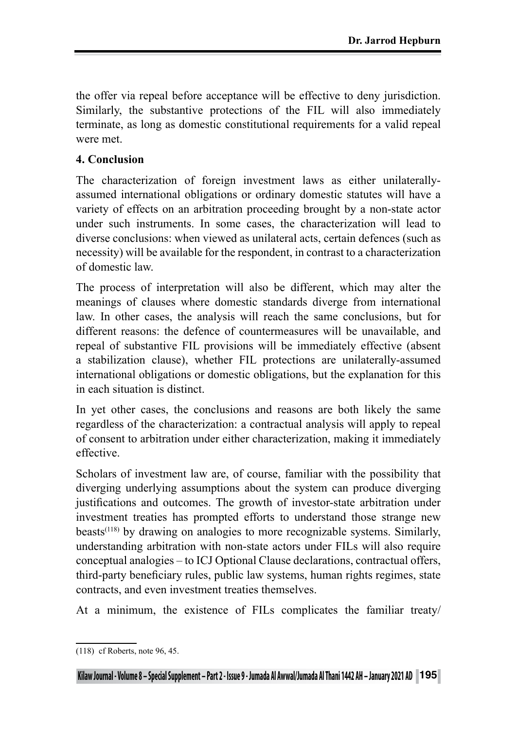the offer via repeal before acceptance will be effective to deny jurisdiction. Similarly, the substantive protections of the FIL will also immediately terminate, as long as domestic constitutional requirements for a valid repeal were met.

## **4. Conclusion**

The characterization of foreign investment laws as either unilaterallyassumed international obligations or ordinary domestic statutes will have a variety of effects on an arbitration proceeding brought by a non-state actor under such instruments. In some cases, the characterization will lead to diverse conclusions: when viewed as unilateral acts, certain defences (such as necessity) will be available for the respondent, in contrast to a characterization of domestic law.

The process of interpretation will also be different, which may alter the meanings of clauses where domestic standards diverge from international law. In other cases, the analysis will reach the same conclusions, but for different reasons: the defence of countermeasures will be unavailable, and repeal of substantive FIL provisions will be immediately effective (absent a stabilization clause), whether FIL protections are unilaterally-assumed international obligations or domestic obligations, but the explanation for this in each situation is distinct.

In yet other cases, the conclusions and reasons are both likely the same regardless of the characterization: a contractual analysis will apply to repeal of consent to arbitration under either characterization, making it immediately effective.

Scholars of investment law are, of course, familiar with the possibility that diverging underlying assumptions about the system can produce diverging justifications and outcomes. The growth of investor-state arbitration under investment treaties has prompted efforts to understand those strange new beasts<sup> $(118)$ </sup> by drawing on analogies to more recognizable systems. Similarly, understanding arbitration with non-state actors under FILs will also require conceptual analogies – to ICJ Optional Clause declarations, contractual offers, third-party beneficiary rules, public law systems, human rights regimes, state contracts, and even investment treaties themselves.

At a minimum, the existence of FILs complicates the familiar treaty/

<sup>(118)</sup> cf Roberts, note 96, 45.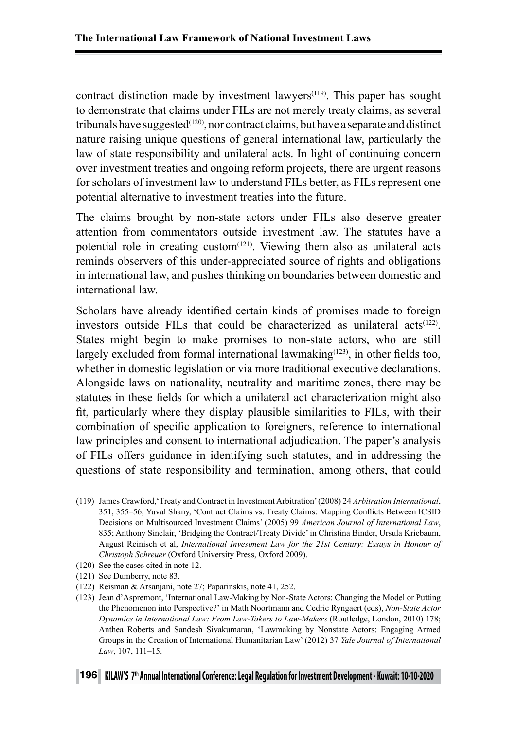contract distinction made by investment lawyers<sup> $(119)$ </sup>. This paper has sought to demonstrate that claims under FILs are not merely treaty claims, as several tribunals have suggested<sup> $(120)$ </sup>, nor contract claims, but have a separate and distinct nature raising unique questions of general international law, particularly the law of state responsibility and unilateral acts. In light of continuing concern over investment treaties and ongoing reform projects, there are urgent reasons for scholars of investment law to understand FILs better, as FILs represent one potential alternative to investment treaties into the future.

The claims brought by non-state actors under FILs also deserve greater attention from commentators outside investment law. The statutes have a potential role in creating custom<sup> $(121)$ </sup>. Viewing them also as unilateral acts reminds observers of this under-appreciated source of rights and obligations in international law, and pushes thinking on boundaries between domestic and international law.

Scholars have already identified certain kinds of promises made to foreign investors outside FILs that could be characterized as unilateral  $\arctan(122)$ . States might begin to make promises to non-state actors, who are still largely excluded from formal international lawmaking $(123)$ , in other fields too, whether in domestic legislation or via more traditional executive declarations. Alongside laws on nationality, neutrality and maritime zones, there may be statutes in these fields for which a unilateral act characterization might also fit, particularly where they display plausible similarities to FILs, with their combination of specific application to foreigners, reference to international law principles and consent to international adjudication. The paper's analysis of FILs offers guidance in identifying such statutes, and in addressing the questions of state responsibility and termination, among others, that could

<sup>(119)</sup> James Crawford,'Treaty and Contract in Investment Arbitration' (2008) 24 *Arbitration International*, 351, 355–56; Yuval Shany, 'Contract Claims vs. Treaty Claims: Mapping Conflicts Between ICSID Decisions on Multisourced Investment Claims' (2005) 99 *American Journal of International Law*, 835; Anthony Sinclair, 'Bridging the Contract/Treaty Divide' in Christina Binder, Ursula Kriebaum, August Reinisch et al, *International Investment Law for the 21st Century: Essays in Honour of Christoph Schreuer* (Oxford University Press, Oxford 2009).

<sup>(120)</sup> See the cases cited in note 12.

<sup>(121)</sup> See Dumberry, note 83.

<sup>(122)</sup> Reisman & Arsanjani, note 27; Paparinskis, note 41, 252.

<sup>(123)</sup> Jean d'Aspremont, 'International Law-Making by Non-State Actors: Changing the Model or Putting the Phenomenon into Perspective?' in Math Noortmann and Cedric Ryngaert (eds), *Non-State Actor Dynamics in International Law: From Law-Takers to Law-Makers* (Routledge, London, 2010) 178; Anthea Roberts and Sandesh Sivakumaran, 'Lawmaking by Nonstate Actors: Engaging Armed Groups in the Creation of International Humanitarian Law' (2012) 37 *Yale Journal of International Law*, 107, 111–15.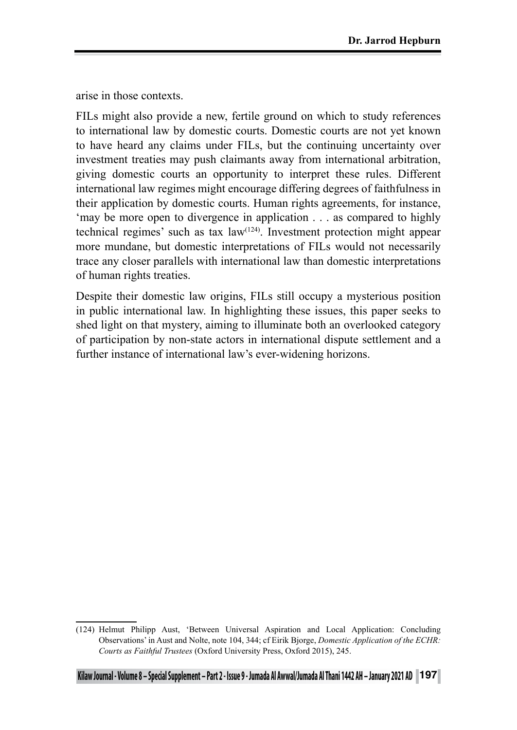arise in those contexts.

FILs might also provide a new, fertile ground on which to study references to international law by domestic courts. Domestic courts are not yet known to have heard any claims under FILs, but the continuing uncertainty over investment treaties may push claimants away from international arbitration, giving domestic courts an opportunity to interpret these rules. Different international law regimes might encourage differing degrees of faithfulness in their application by domestic courts. Human rights agreements, for instance, 'may be more open to divergence in application . . . as compared to highly technical regimes' such as tax law(124). Investment protection might appear more mundane, but domestic interpretations of FILs would not necessarily trace any closer parallels with international law than domestic interpretations of human rights treaties.

Despite their domestic law origins, FILs still occupy a mysterious position in public international law. In highlighting these issues, this paper seeks to shed light on that mystery, aiming to illuminate both an overlooked category of participation by non-state actors in international dispute settlement and a further instance of international law's ever-widening horizons.

<sup>(124)</sup> Helmut Philipp Aust, 'Between Universal Aspiration and Local Application: Concluding Observations' in Aust and Nolte, note 104, 344; cf Eirik Bjorge, *Domestic Application of the ECHR: Courts as Faithful Trustees* (Oxford University Press, Oxford 2015), 245.